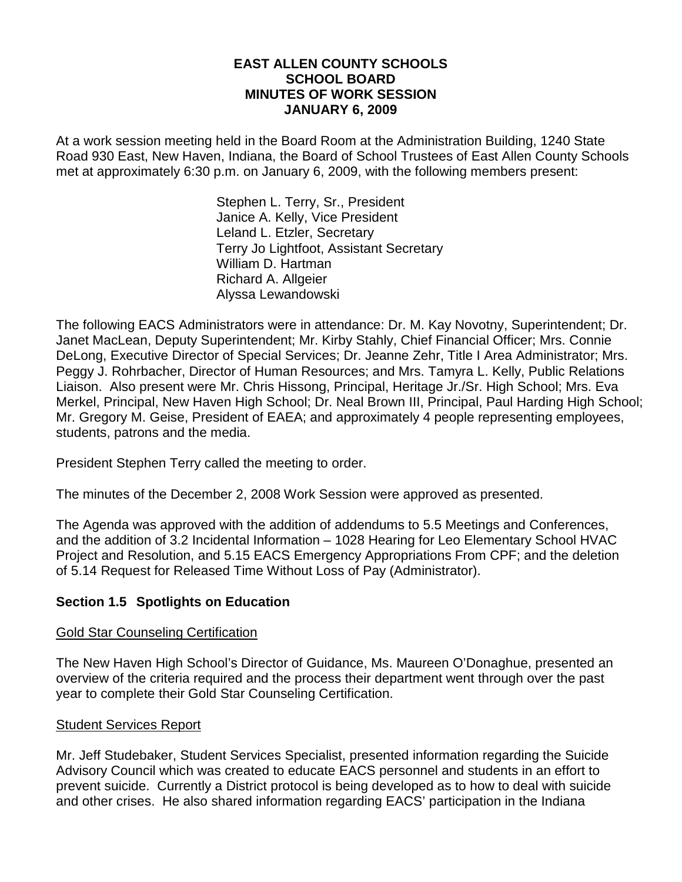### **EAST ALLEN COUNTY SCHOOLS SCHOOL BOARD MINUTES OF WORK SESSION JANUARY 6, 2009**

At a work session meeting held in the Board Room at the Administration Building, 1240 State Road 930 East, New Haven, Indiana, the Board of School Trustees of East Allen County Schools met at approximately 6:30 p.m. on January 6, 2009, with the following members present:

> Stephen L. Terry, Sr., President Janice A. Kelly, Vice President Leland L. Etzler, Secretary Terry Jo Lightfoot, Assistant Secretary William D. Hartman Richard A. Allgeier Alyssa Lewandowski

The following EACS Administrators were in attendance: Dr. M. Kay Novotny, Superintendent; Dr. Janet MacLean, Deputy Superintendent; Mr. Kirby Stahly, Chief Financial Officer; Mrs. Connie DeLong, Executive Director of Special Services; Dr. Jeanne Zehr, Title I Area Administrator; Mrs. Peggy J. Rohrbacher, Director of Human Resources; and Mrs. Tamyra L. Kelly, Public Relations Liaison. Also present were Mr. Chris Hissong, Principal, Heritage Jr./Sr. High School; Mrs. Eva Merkel, Principal, New Haven High School; Dr. Neal Brown III, Principal, Paul Harding High School; Mr. Gregory M. Geise, President of EAEA; and approximately 4 people representing employees, students, patrons and the media.

President Stephen Terry called the meeting to order.

The minutes of the December 2, 2008 Work Session were approved as presented.

The Agenda was approved with the addition of addendums to 5.5 Meetings and Conferences, and the addition of 3.2 Incidental Information – 1028 Hearing for Leo Elementary School HVAC Project and Resolution, and 5.15 EACS Emergency Appropriations From CPF; and the deletion of 5.14 Request for Released Time Without Loss of Pay (Administrator).

# **Section 1.5 Spotlights on Education**

# Gold Star Counseling Certification

The New Haven High School's Director of Guidance, Ms. Maureen O'Donaghue, presented an overview of the criteria required and the process their department went through over the past year to complete their Gold Star Counseling Certification.

# Student Services Report

Mr. Jeff Studebaker, Student Services Specialist, presented information regarding the Suicide Advisory Council which was created to educate EACS personnel and students in an effort to prevent suicide. Currently a District protocol is being developed as to how to deal with suicide and other crises. He also shared information regarding EACS' participation in the Indiana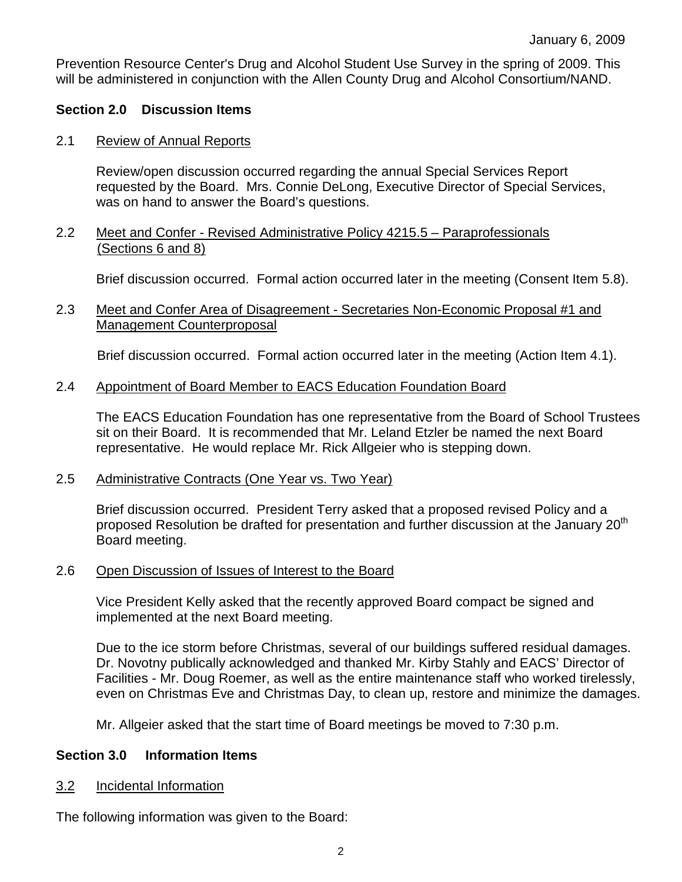Prevention Resource Center's Drug and Alcohol Student Use Survey in the spring of 2009. This will be administered in conjunction with the Allen County Drug and Alcohol Consortium/NAND.

## **Section 2.0 Discussion Items**

### 2.1 Review of Annual Reports

Review/open discussion occurred regarding the annual Special Services Report requested by the Board. Mrs. Connie DeLong, Executive Director of Special Services, was on hand to answer the Board's questions.

### 2.2 Meet and Confer - Revised Administrative Policy 4215.5 – Paraprofessionals (Sections 6 and 8)

Brief discussion occurred. Formal action occurred later in the meeting (Consent Item 5.8).

## 2.3 Meet and Confer Area of Disagreement - Secretaries Non-Economic Proposal #1 and Management Counterproposal

Brief discussion occurred. Formal action occurred later in the meeting (Action Item 4.1).

### 2.4 Appointment of Board Member to EACS Education Foundation Board

The EACS Education Foundation has one representative from the Board of School Trustees sit on their Board. It is recommended that Mr. Leland Etzler be named the next Board representative. He would replace Mr. Rick Allgeier who is stepping down.

#### 2.5 Administrative Contracts (One Year vs. Two Year)

Brief discussion occurred. President Terry asked that a proposed revised Policy and a proposed Resolution be drafted for presentation and further discussion at the January  $20<sup>th</sup>$ Board meeting.

#### 2.6 Open Discussion of Issues of Interest to the Board

Vice President Kelly asked that the recently approved Board compact be signed and implemented at the next Board meeting.

Due to the ice storm before Christmas, several of our buildings suffered residual damages. Dr. Novotny publically acknowledged and thanked Mr. Kirby Stahly and EACS' Director of Facilities - Mr. Doug Roemer, as well as the entire maintenance staff who worked tirelessly, even on Christmas Eve and Christmas Day, to clean up, restore and minimize the damages.

Mr. Allgeier asked that the start time of Board meetings be moved to 7:30 p.m.

### **Section 3.0 Information Items**

3.2 Incidental Information

The following information was given to the Board: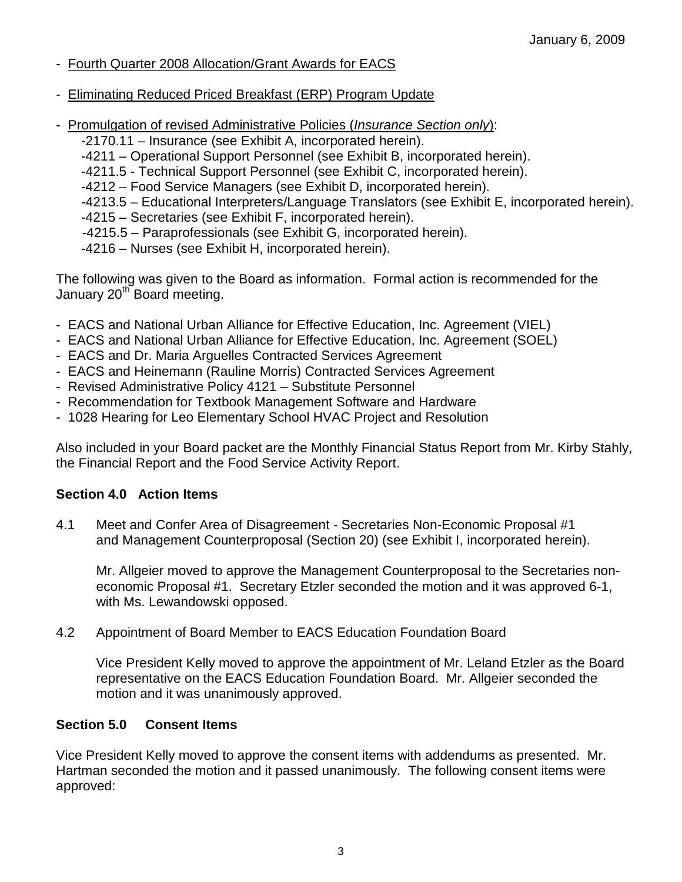- Fourth Quarter 2008 Allocation/Grant Awards for EACS
- Eliminating Reduced Priced Breakfast (ERP) Program Update
- Promulgation of revised Administrative Policies (Insurance Section only):
	- -2170.11 Insurance (see Exhibit A, incorporated herein).
	- -4211 Operational Support Personnel (see Exhibit B, incorporated herein).
	- -4211.5 Technical Support Personnel (see Exhibit C, incorporated herein).
	- -4212 Food Service Managers (see Exhibit D, incorporated herein).
	- -4213.5 Educational Interpreters/Language Translators (see Exhibit E, incorporated herein).
	- -4215 Secretaries (see Exhibit F, incorporated herein).
	- -4215.5 Paraprofessionals (see Exhibit G, incorporated herein).
	- -4216 Nurses (see Exhibit H, incorporated herein).

The following was given to the Board as information. Formal action is recommended for the January 20<sup>th</sup> Board meeting.

- EACS and National Urban Alliance for Effective Education, Inc. Agreement (VIEL)
- EACS and National Urban Alliance for Effective Education, Inc. Agreement (SOEL)
- EACS and Dr. Maria Arguelles Contracted Services Agreement
- EACS and Heinemann (Rauline Morris) Contracted Services Agreement
- Revised Administrative Policy 4121 Substitute Personnel
- Recommendation for Textbook Management Software and Hardware
- 1028 Hearing for Leo Elementary School HVAC Project and Resolution

Also included in your Board packet are the Monthly Financial Status Report from Mr. Kirby Stahly, the Financial Report and the Food Service Activity Report.

# **Section 4.0 Action Items**

4.1 Meet and Confer Area of Disagreement - Secretaries Non-Economic Proposal #1 and Management Counterproposal (Section 20) (see Exhibit I, incorporated herein).

Mr. Allgeier moved to approve the Management Counterproposal to the Secretaries noneconomic Proposal #1. Secretary Etzler seconded the motion and it was approved 6-1, with Ms. Lewandowski opposed.

4.2 Appointment of Board Member to EACS Education Foundation Board

Vice President Kelly moved to approve the appointment of Mr. Leland Etzler as the Board representative on the EACS Education Foundation Board. Mr. Allgeier seconded the motion and it was unanimously approved.

# **Section 5.0 Consent Items**

Vice President Kelly moved to approve the consent items with addendums as presented. Mr. Hartman seconded the motion and it passed unanimously. The following consent items were approved: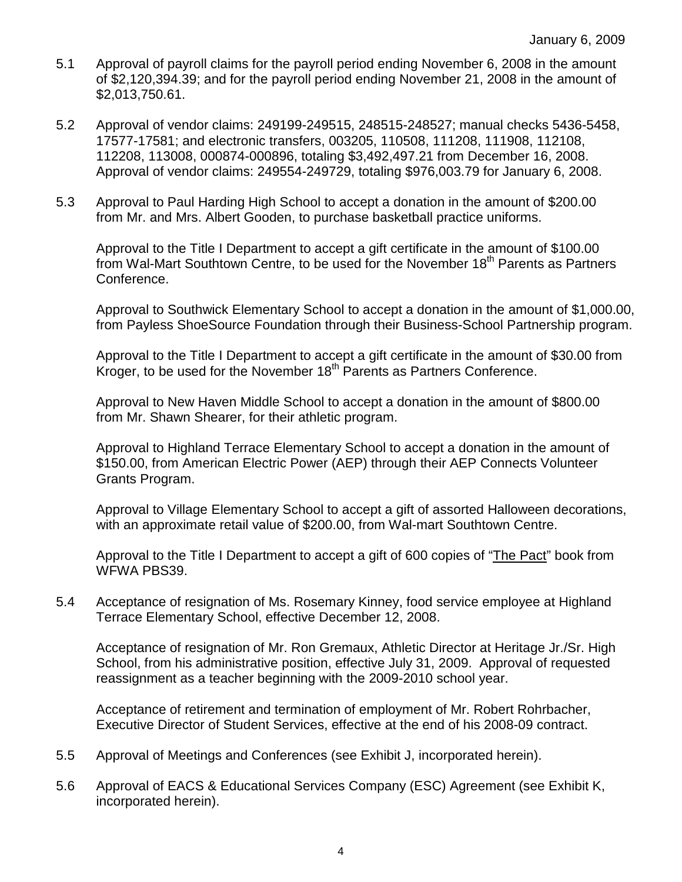- 5.1 Approval of payroll claims for the payroll period ending November 6, 2008 in the amount of \$2,120,394.39; and for the payroll period ending November 21, 2008 in the amount of \$2,013,750.61.
- 5.2 Approval of vendor claims: 249199-249515, 248515-248527; manual checks 5436-5458, 17577-17581; and electronic transfers, 003205, 110508, 111208, 111908, 112108, 112208, 113008, 000874-000896, totaling \$3,492,497.21 from December 16, 2008. Approval of vendor claims: 249554-249729, totaling \$976,003.79 for January 6, 2008.
- 5.3 Approval to Paul Harding High School to accept a donation in the amount of \$200.00 from Mr. and Mrs. Albert Gooden, to purchase basketball practice uniforms.

Approval to the Title I Department to accept a gift certificate in the amount of \$100.00 from Wal-Mart Southtown Centre, to be used for the November 18<sup>th</sup> Parents as Partners Conference.

Approval to Southwick Elementary School to accept a donation in the amount of \$1,000.00, from Payless ShoeSource Foundation through their Business-School Partnership program.

Approval to the Title I Department to accept a gift certificate in the amount of \$30.00 from Kroger, to be used for the November  $18<sup>th</sup>$  Parents as Partners Conference.

Approval to New Haven Middle School to accept a donation in the amount of \$800.00 from Mr. Shawn Shearer, for their athletic program.

Approval to Highland Terrace Elementary School to accept a donation in the amount of \$150.00, from American Electric Power (AEP) through their AEP Connects Volunteer Grants Program.

Approval to Village Elementary School to accept a gift of assorted Halloween decorations, with an approximate retail value of \$200.00, from Wal-mart Southtown Centre.

Approval to the Title I Department to accept a gift of 600 copies of "The Pact" book from WFWA PBS39.

5.4 Acceptance of resignation of Ms. Rosemary Kinney, food service employee at Highland Terrace Elementary School, effective December 12, 2008.

Acceptance of resignation of Mr. Ron Gremaux, Athletic Director at Heritage Jr./Sr. High School, from his administrative position, effective July 31, 2009. Approval of requested reassignment as a teacher beginning with the 2009-2010 school year.

 Acceptance of retirement and termination of employment of Mr. Robert Rohrbacher, Executive Director of Student Services, effective at the end of his 2008-09 contract.

- 5.5 Approval of Meetings and Conferences (see Exhibit J, incorporated herein).
- 5.6 Approval of EACS & Educational Services Company (ESC) Agreement (see Exhibit K, incorporated herein).